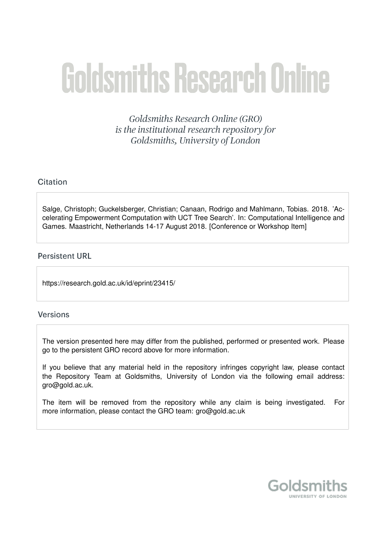# **Goldsmiths Research Online**

Goldsmiths Research Online (GRO) is the institutional research repository for Goldsmiths, University of London

# Citation

Salge, Christoph; Guckelsberger, Christian; Canaan, Rodrigo and Mahlmann, Tobias. 2018. 'Accelerating Empowerment Computation with UCT Tree Search'. In: Computational Intelligence and Games. Maastricht, Netherlands 14-17 August 2018. [Conference or Workshop Item]

# **Persistent URL**

https://research.gold.ac.uk/id/eprint/23415/

### **Versions**

The version presented here may differ from the published, performed or presented work. Please go to the persistent GRO record above for more information.

If you believe that any material held in the repository infringes copyright law, please contact the Repository Team at Goldsmiths, University of London via the following email address: gro@gold.ac.uk.

The item will be removed from the repository while any claim is being investigated. For more information, please contact the GRO team: gro@gold.ac.uk

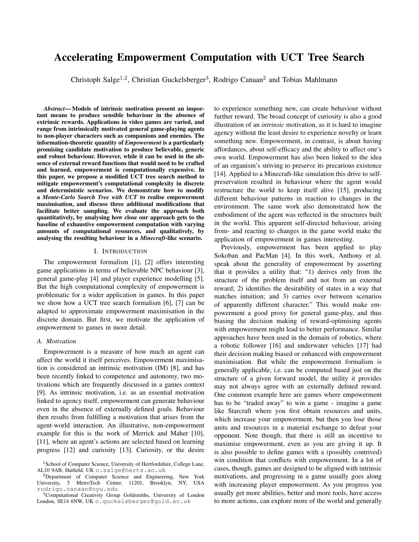# Accelerating Empowerment Computation with UCT Tree Search

Christoph Salge<sup>1,2</sup>, Christian Guckelsberger<sup>3</sup>, Rodrigo Canaan<sup>2</sup> and Tobias Mahlmann

*Abstract*— Models of intrinsic motivation present an important means to produce sensible behaviour in the absence of extrinsic rewards. Applications in video games are varied, and range from intrinsically motivated general game-playing agents to non-player characters such as companions and enemies. The information-theoretic quantity of *Empowerment* is a particularly promising candidate motivation to produce believable, generic and robust behaviour. However, while it can be used in the absence of external reward functions that would need to be crafted and learned, empowerment is computationally expensive. In this paper, we propose a modified UCT tree search method to mitigate empowerment's computational complexity in discrete and deterministic scenarios. We demonstrate how to modify a *Monte-Carlo Search Tree with UCT* to realise empowerment maximisation, and discuss three additional modifications that facilitate better sampling. We evaluate the approach both quantitatively, by analysing how close our approach gets to the baseline of exhaustive empowerment computation with varying amounts of computational resources, and qualitatively, by analysing the resulting behaviour in a *Minecraft*-like scenario.

#### I. INTRODUCTION

The empowerment formalism [1], [2] offers interesting game applications in terms of believable NPC behaviour [3], general game-play [4] and player experience modelling [5]. But the high computational complexity of empowerment is problematic for a wider application in games. In this paper we show how a UCT tree search formalism [6], [7] can be adapted to approximate empowerment maximisation in the discrete domain. But first, we motivate the application of empowerment to games in more detail.

#### *A. Motivation*

Empowerment is a measure of how much an agent can affect the world it itself perceives. Empowerment maximisation is considered an intrinsic motivation (IM) [8], and has been recently linked to competence and autonomy, two motivations which are frequently discussed in a games context [9]. As intrinsic motivation, i.e. as an essential motivation linked to agency itself, empowerment can generate behaviour even in the absence of externally defined goals. Behaviour then results from fulfilling a motivation that arises from the agent-world interaction. An illustrative, non-empowerment example for this is the work of Merrick and Maher [10], [11], where an agent's actions are selected based on learning progress [12] and curiosity [13]. Curiosity, or the desire

to experience something new, can create behaviour without further reward. The broad concept of curiosity is also a good illustration of an *intrinsic* motivation, as it is hard to imagine agency without the least desire to experience novelty or learn something new. Empowerment, in contrast, is about having affordances, about self-efficacy and the ability to affect one's own world. Empowerment has also been linked to the idea of an organism's striving to preserve its precarious existence [14]. Applied to a Minecraft-like simulation this drive to selfpreservation resulted in behaviour where the agent would restructure the world to keep itself alive [15], producing different behaviour patterns in reaction to changes in the environment. The same work also demonstrated how the embodiment of the agent was reflected in the structures built in the world. This apparent self-directed behaviour, arising from- and reacting to changes in the game world make the application of empowerment in games interesting.

Previously, empowerment has been applied to play Sokoban and PacMan [4]. In this work, Anthony et al. speak about the generality of empowerment by asserting that it provides a utility that: "1) derives only from the structure of the problem itself and not from an external reward; 2) identifies the desirability of states in a way that matches intuition; and 3) carries over between scenarios of apparently different character." This would make empowerment a good proxy for general game-play, and thus biasing the decision making of reward-optimising agents with empowerment might lead to better performance. Similar approaches have been used in the domain of robotics, where a robotic follower [16] and underwater vehicles [17] had their decision making biased or enhanced with empowerment maximisation. But while the empowerment formalism is generally applicable, i.e. can be computed based just on the structure of a given forward model, the utility it provides may not always agree with an externally defined reward. One common example here are games where empowerment has to be "traded away" to win a game - imagine a game like Starcraft where you first obtain resources and units, which increase your empowerment, but then you lose those units and resources in a material exchange to defeat your opponent. Note though, that there is still an incentive to maximise empowerment, even as you are giving it up. It is also possible to define games with a (possibly contrived) win condition that conflicts with empowerment. In a lot of cases, though, games are designed to be aligned with intrinsic motivations, and progressing in a game usually goes along with increasing player empowerment. As you progress you usually get more abilities, better and more tools, have access to more actions, can explore more of the world and generally

<sup>&</sup>lt;sup>1</sup> School of Computer Science, University of Hertfordshire, College Lane, AL10 9AB, Hatfield, UK c.salge@herts.ac.uk

<sup>2</sup>Department of Computer Science and Engineering, New York University, 5 MetroTech Center, 11201, Brooklyn, NY, USA rodrigo.canaan@nyu.edu

<sup>3</sup>Computational Creativity Group Goldsmiths, University of London London, SE14 6NW, UK c.guckelsberger@gold.ac.uk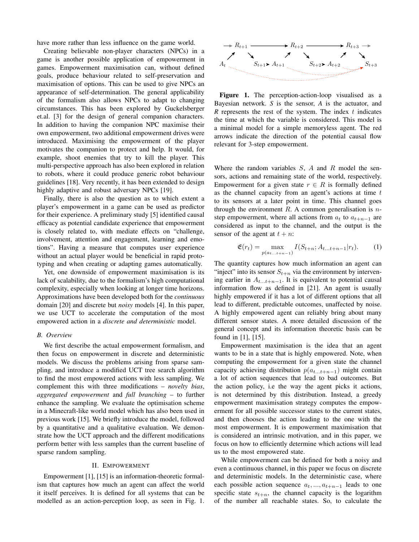have more rather than less influence on the game world.

Creating believable non-player characters (NPCs) in a game is another possible application of empowerment in games. Empowerment maximisation can, without defined goals, produce behaviour related to self-preservation and maximisation of options. This can be used to give NPCs an appearance of self-determination. The general applicability of the formalism also allows NPCs to adapt to changing circumstances. This has been explored by Guckelsberger et.al. [3] for the design of general companion characters. In addition to having the companion NPC maximise their own empowerment, two additional empowerment drives were introduced. Maximising the empowerment of the player motivates the companion to protect and help. It would, for example, shoot enemies that try to kill the player. This multi-perspective approach has also been explored in relation to robots, where it could produce generic robot behaviour guidelines [18]. Very recently, it has been extended to design highly adaptive and robust adversary NPCs [19].

Finally, there is also the question as to which extent a player's empowerment in a game can be used as predictor for their experience. A preliminary study [5] identified causal efficacy as potential candidate experience that empowerment is closely related to, with mediate effects on "challenge, involvement, attention and engagement, learning and emotions". Having a measure that computes user experience without an actual player would be beneficial in rapid prototyping and when creating or adapting games automatically.

Yet, one downside of empowerment maximisation is its lack of scalability, due to the formalism's high computational complexity, especially when looking at longer time horizons. Approximations have been developed both for the *continuous* domain [20] and discrete but *noisy* models [4]. In this paper, we use UCT to accelerate the computation of the most empowered action in a *discrete and deterministic* model.

#### *B. Overview*

We first describe the actual empowerment formalism, and then focus on empowerment in discrete and deterministic models. We discuss the problems arising from sparse sampling, and introduce a modified UCT tree search algorithm to find the most empowered actions with less sampling. We complement this with three modifications – *novelty bias*, *aggregated empowerment* and *full branching* – to further enhance the sampling. We evaluate the optimisation scheme in a Minecraft-like world model which has also been used in previous work [15]. We briefly introduce the model, followed by a quantitative and a qualitative evaluation. We demonstrate how the UCT approach and the different modifications perform better with less samples than the current baseline of sparse random sampling.

#### II. EMPOWERMENT

Empowerment [1], [15] is an information-theoretic formalism that captures how much an agent can affect the world it itself perceives. It is defined for all systems that can be modelled as an action-perception loop, as seen in Fig. 1.



Figure 1. The perception-action-loop visualised as a Bayesian network. *S* is the sensor, *A* is the actuator, and  $R$  represents the rest of the system. The index  $t$  indicates the time at which the variable is considered. This model is a minimal model for a simple memoryless agent. The red arrows indicate the direction of the potential causal flow relevant for 3-step empowerment.

Where the random variables  $S$ ,  $A$  and  $R$  model the sensors, actions and remaining state of the world, respectively. Empowerment for a given state  $r \in R$  is formally defined as the channel capacity from an agent's actions at time  $t$ to its sensors at a later point in time. This channel goes through the environment R. A common generalisation is  $n$ step empowerment, where all actions from  $a_t$  to  $a_{t+n-1}$  are considered as input to the channel, and the output is the sensor of the agent at  $t + n$ :

$$
\mathfrak{E}(r_t) = \max_{p(a_{t...t+n-1})} I(S_{t+n}; A_{t...t+n-1}|r_t).
$$
 (1)

The quantity captures how much information an agent can "inject" into its sensor  $S_{t+n}$  via the environment by intervening earlier in  $A_{t...t+n-1}$ . It is equivalent to potential causal information flow as defined in [21]. An agent is usually highly empowered if it has a lot of different options that all lead to different, predictable outcomes, unaffected by noise. A highly empowered agent can reliably bring about many different sensor states. A more detailed discussion of the general concept and its information theoretic basis can be found in [1], [15].

Empowerment maximisation is the idea that an agent wants to be in a state that is highly empowered. Note, when computing the empowerment for a given state the channel capacity achieving distribution  $p(a_{t+1}+n-1)$  might contain a lot of action sequences that lead to bad outcomes. But the action policy, i.e the way the agent picks it actions, is not determined by this distribution. Instead, a greedy empowerment maximisation strategy computes the empowerment for all possible successor states to the current states, and then chooses the action leading to the one with the most empowerment. It is empowerment maximisation that is considered an intrinsic motivation, and in this paper, we focus on how to efficiently determine which actions will lead us to the most empowered state.

While empowerment can be defined for both a noisy and even a continuous channel, in this paper we focus on discrete and deterministic models. In the deterministic case, where each possible action sequence  $a_t, ..., a_{t+n-1}$  leads to one specific state  $s_{t+n}$ , the channel capacity is the logarithm of the number all reachable states. So, to calculate the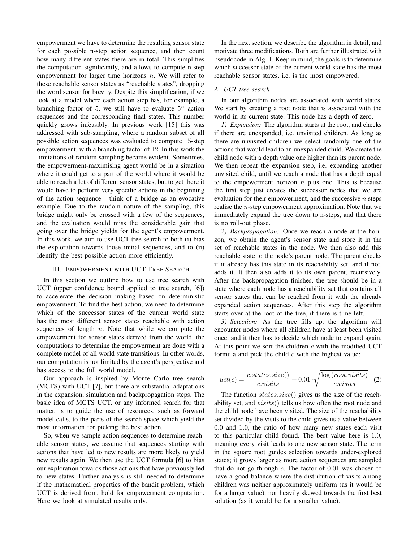empowerment we have to determine the resulting sensor state for each possible n-step action sequence, and then count how many different states there are in total. This simplifies the computation significantly, and allows to compute n-step empowerment for larger time horizons  $n$ . We will refer to these reachable sensor states as "reachable states", dropping the word sensor for brevity. Despite this simplification, if we look at a model where each action step has, for example, a branching factor of 5, we still have to evaluate  $5^n$  action sequences and the corresponding final states. This number quickly grows infeasibly. In previous work [15] this was addressed with sub-sampling, where a random subset of all possible action sequences was evaluated to compute 15-step empowerment, with a branching factor of 12. In this work the limitations of random sampling became evident. Sometimes, the empowerment-maximising agent would be in a situation where it could get to a part of the world where it would be able to reach a lot of different sensor states, but to get there it would have to perform very specific actions in the beginning of the action sequence - think of a bridge as an evocative example. Due to the random nature of the sampling, this bridge might only be crossed with a few of the sequences, and the evaluation would miss the considerable gain that going over the bridge yields for the agent's empowerment. In this work, we aim to use UCT tree search to both (i) bias the exploration towards those initial sequences, and to (ii) identify the best possible action more efficiently.

#### III. EMPOWERMENT WITH UCT TREE SEARCH

In this section we outline how to use tree search with UCT (upper confidence bound applied to tree search, [6]) to accelerate the decision making based on deterministic empowerment. To find the best action, we need to determine which of the successor states of the current world state has the most different sensor states reachable with action sequences of length  $n$ . Note that while we compute the empowerment for sensor states derived from the world, the computations to determine the empowerment are done with a complete model of all world state transitions. In other words, our computation is not limited by the agent's perspective and has access to the full world model.

Our approach is inspired by Monte Carlo tree search (MCTS) with UCT [7], but there are substantial adaptations in the expansion, simulation and backpropagation steps. The basic idea of MCTS UCT, or any informed search for that matter, is to guide the use of resources, such as forward model calls, to the parts of the search space which yield the most information for picking the best action.

So, when we sample action sequences to determine reachable sensor states, we assume that sequences starting with actions that have led to new results are more likely to yield new results again. We then use the UCT formula [6] to bias our exploration towards those actions that have previously led to new states. Further analysis is still needed to determine if the mathematical properties of the bandit problem, which UCT is derived from, hold for empowerment computation. Here we look at simulated results only.

In the next section, we describe the algorithm in detail, and motivate three modifications. Both are further illustrated with pseudocode in Alg. 1. Keep in mind, the goals is to determine which successor state of the current world state has the most reachable sensor states, i.e. is the most empowered.

#### *A. UCT tree search*

In our algorithm nodes are associated with world states. We start by creating a root node that is associated with the world in its current state. This node has a depth of zero.

*1) Expansion:* The algorithm starts at the root, and checks if there are unexpanded, i.e. unvisited children. As long as there are unvisited children we select randomly one of the actions that would lead to an unexpanded child. We create the child node with a depth value one higher than its parent node. We then repeat the expansion step, i.e. expanding another unvisited child, until we reach a node that has a depth equal to the empowerment horizon  $n$  plus one. This is because the first step just creates the successor nodes that we are evaluation for their empowerment, and the successive  $n$  steps realise the  $n$ -step empowerment approximation. Note that we immediately expand the tree down to n-steps, and that there is no roll-out phase.

*2) Backpropagation:* Once we reach a node at the horizon, we obtain the agent's sensor state and store it in the set of reachable states in the node. We then also add this reachable state to the node's parent node. The parent checks if it already has this state in its reachability set, and if not, adds it. It then also adds it to its own parent, recursively. After the backpropagation finishes, the tree should be in a state where each node has a reachability set that contains all sensor states that can be reached from it with the already expanded action sequences. After this step the algorithm starts over at the root of the tree, if there is time left.

*3) Selection:* As the tree fills up, the algorithm will encounter nodes where all children have at least been visited once, and it then has to decide which node to expand again. At this point we sort the children  $c$  with the modified UCT formula and pick the child  $c$  with the highest value:

$$
uct(c) = \frac{c. states.size()}{c. visits} + 0.01 \cdot \sqrt{\frac{\log (root. visits)}{c. visits}} \quad (2)
$$

The function  $states.size()$  gives us the size of the reachability set, and  $visits()$  tells us how often the root node and the child node have been visited. The size of the reachability set divided by the visits to the child gives us a value between 0.0 and 1.0, the ratio of how many new states each visit to this particular child found. The best value here is 1.0, meaning every visit leads to one new sensor state. The term in the square root guides selection towards under-explored states; it grows larger as more action sequences are sampled that do not go through  $c$ . The factor of  $0.01$  was chosen to have a good balance where the distribution of visits among children was neither approximately uniform (as it would be for a larger value), nor heavily skewed towards the first best solution (as it would be for a smaller value).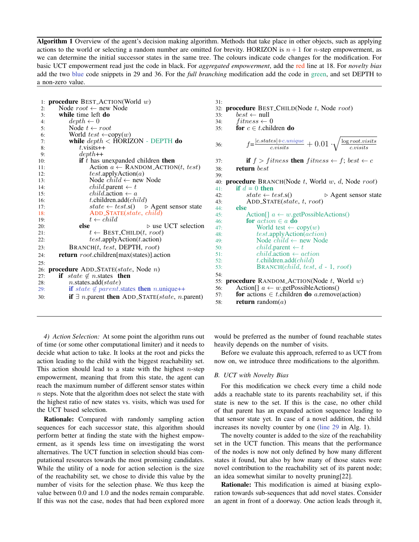Algorithm 1 Overview of the agent's decision making algorithm. Methods that take place in other objects, such as applying actions to the world or selecting a random number are omitted for brevity. HORIZON is  $n+1$  for n-step empowerment, as we can determine the initial successor states in the same tree. The colours indicate code changes for the modification. For basic UCT empowerment read just the code in black. For *aggregated empowerment*, add the red line at 18. For *novelty bias* add the two blue code snippets in 29 and 36. For the *full branching* modification add the code in green, and set DEPTH to a non-zero value.

|     | 1: procedure BEST_ACTION(World w)                                                            |
|-----|----------------------------------------------------------------------------------------------|
| 2:  | Node $root \leftarrow new Node$                                                              |
| 3:  | while time left do                                                                           |
| 4:  | $depth \leftarrow 0$                                                                         |
| 5:  | Node $t \leftarrow root$                                                                     |
| 6:  | World $test \leftarrow copy(w)$                                                              |
| 7:  | while $depth <$ HORIZON - DEPTH do                                                           |
| 8:  | $t$ visits $++$                                                                              |
| 9:  | $depth++$                                                                                    |
| 10: | if $t$ has unexpanded children then                                                          |
| 11: | Action $a \leftarrow$ RANDOM_ACTION(t, test)                                                 |
| 12: | test.appendyAction(a)                                                                        |
| 13: | Node $child \leftarrow$ new Node                                                             |
| 14: | <i>child.</i> parent $\leftarrow t$                                                          |
| 15: | <i>child.action</i> $\leftarrow a$                                                           |
| 16: | t.children.add $\left(\text{child}\right)$                                                   |
| 17: | $state \leftarrow test.\mathbf{s}() \Rightarrow \text{Agent sensor state}$                   |
| 18: | $ADD\_STATE(state, child)$                                                                   |
| 19: | $t \leftarrow child$                                                                         |
| 20: | $\triangleright$ use UCT selection<br>else                                                   |
| 21: | $t \leftarrow$ BEST_CHILD $(t, root)$                                                        |
| 22: | test.appendyAction(t.action)                                                                 |
| 23: | $B$ RANCH $(t, test, DEPTH, root)$                                                           |
| 24: | <b>return</b> root.children[max(states)].action                                              |
| 25: |                                                                                              |
|     | 26: <b>procedure</b> ADD_STATE $(state, Node n)$                                             |
| 27: | if state $\notin$ n.states then                                                              |
| 28: | $n$ .states.add $(state)$                                                                    |
| 29: | if state $\notin$ parent states then n unique++                                              |
| 30: | <b>if</b> $\exists$ <i>n</i> .parent <b>then</b> ADD_STATE( <i>state</i> , <i>n</i> .parent) |

| procedure BEST_CHILD(Node t, Node root)                                                                                         |
|---------------------------------------------------------------------------------------------------------------------------------|
| $best \leftarrow null$<br>33:                                                                                                   |
| $fitness \leftarrow 0$<br>34:                                                                                                   |
| for $c \in t$ children do<br>35:                                                                                                |
|                                                                                                                                 |
| $f = \frac{ c\_states  + c.\text{unique}}{c.\text{visits}} + 0.01 \cdot \sqrt{\frac{\log root.\text{visits}}{c.\text{visits}}}$ |
| <b>if</b> $f > fitness$ then $fitness \leftarrow f$ ; best $\leftarrow c$                                                       |
| return best                                                                                                                     |
|                                                                                                                                 |
| <b>procedure</b> BRANCH(Node t, World w, d, Node root)                                                                          |
| if $d=0$ then                                                                                                                   |
| $state \leftarrow test.\mathbf{s}()$<br>$\triangleright$ Agent sensor state<br>42:                                              |
| ADD_STATE(state, t, root)<br>43:                                                                                                |
| else<br>44:                                                                                                                     |
| Action $a \leftarrow w$ get Possible Actions ()                                                                                 |
| for $action \in a$ do                                                                                                           |
| World test $\leftarrow \text{copy}(w)$                                                                                          |
| $test.\text{applyAction}(action)$                                                                                               |
| Node $child \leftarrow$ new Node                                                                                                |
| $child$ -parent $\leftarrow t$                                                                                                  |
| $child$ action $\leftarrow action$                                                                                              |
| t.children.add $\left( child\right)$                                                                                            |
| BRANCH $\left( child, \, test, \, d-1, \, root \right)$                                                                         |
|                                                                                                                                 |
| <b>procedure</b> RANDOM_ACTION(Node $t$ , World $w$ )                                                                           |
| Action[] $a \leftarrow w.getPossible Actions()$                                                                                 |
| for actions $\in$ <i>t</i> .children <b>do</b> <i>a</i> .remove(action)<br>57:                                                  |
| <b>return</b> random( <i>a</i> )                                                                                                |
|                                                                                                                                 |

*4) Action Selection:* At some point the algorithm runs out of time (or some other computational limiter) and it needs to decide what action to take. It looks at the root and picks the action leading to the child with the biggest reachability set. This action should lead to a state with the highest  $n$ -step empowerment, meaning that from this state, the agent can reach the maximum number of different sensor states within n steps. Note that the algorithm does not select the state with the highest ratio of new states vs. visits, which was used for the UCT based selection.

Rationale: Compared with randomly sampling action sequences for each successor state, this algorithm should perform better at finding the state with the highest empowerment, as it spends less time on investigating the worst alternatives. The UCT function in selection should bias computational resources towards the most promising candidates. While the utility of a node for action selection is the size of the reachability set, we chose to divide this value by the number of visits for the selection phase. We thus keep the value between 0.0 and 1.0 and the nodes remain comparable. If this was not the case, nodes that had been explored more would be preferred as the number of found reachable states heavily depends on the number of visits.

Before we evaluate this approach, referred to as UCT from now on, we introduce three modifications to the algorithm.

#### *B. UCT with Novelty Bias*

For this modification we check every time a child node adds a reachable state to its parents reachability set, if this state is new to the set. If this is the case, no other child of that parent has an expanded action sequence leading to that sensor state yet. In case of a novel addition, the child increases its novelty counter by one (line 29 in Alg. 1).

The novelty counter is added to the size of the reachability set in the UCT function. This means that the performance of the nodes is now not only defined by how many different states it found, but also by how many of those states were novel contribution to the reachability set of its parent node; an idea somewhat similar to novelty pruning[22].

Rationale: This modification is aimed at biasing exploration towards sub-sequences that add novel states. Consider an agent in front of a doorway. One action leads through it,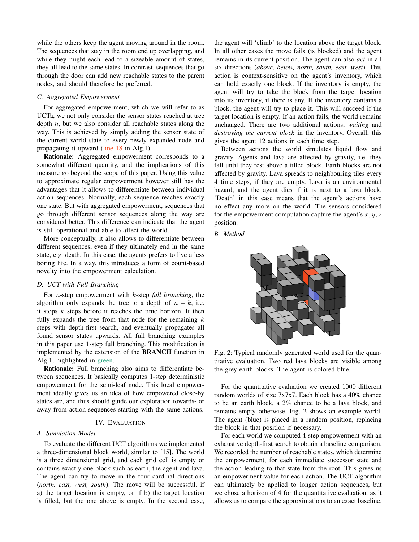while the others keep the agent moving around in the room. The sequences that stay in the room end up overlapping, and while they might each lead to a sizeable amount of states, they all lead to the same states. In contrast, sequences that go through the door can add new reachable states to the parent nodes, and should therefore be preferred.

#### *C. Aggregated Empowerment*

For aggregated empowerment, which we will refer to as UCTa, we not only consider the sensor states reached at tree depth  $n$ , but we also consider all reachable states along the way. This is achieved by simply adding the sensor state of the current world state to every newly expanded node and propagating it upward (line 18 in Alg.1).

Rationale: Aggregated empowerment corresponds to a somewhat different quantity, and the implications of this measure go beyond the scope of this paper. Using this value to approximate regular empowerment however still has the advantages that it allows to differentiate between individual action sequences. Normally, each sequence reaches exactly one state. But with aggregated empowerment, sequences that go through different sensor sequences along the way are considered better. This difference can indicate that the agent is still operational and able to affect the world.

More conceptually, it also allows to differentiate between different sequences, even if they ultimately end in the same state, e.g. death. In this case, the agents prefers to live a less boring life. In a way, this introduces a form of count-based novelty into the empowerment calculation.

#### *D. UCT with Full Branching*

For n-step empowerment with k-step *full branching*, the algorithm only expands the tree to a depth of  $n - k$ , i.e. it stops  $k$  steps before it reaches the time horizon. It then fully expands the tree from that node for the remaining  $k$ steps with depth-first search, and eventually propagates all found sensor states upwards. All full branching examples in this paper use 1-step full branching. This modification is implemented by the extension of the BRANCH function in Alg.1, highlighted in green.

Rationale: Full branching also aims to differentiate between sequences. It basically computes 1-step deterministic empowerment for the semi-leaf node. This local empowerment ideally gives us an idea of how empowered close-by states are, and thus should guide our exploration towards- or away from action sequences starting with the same actions.

#### IV. EVALUATION

#### *A. Simulation Model*

To evaluate the different UCT algorithms we implemented a three-dimensional block world, similar to [15]. The world is a three dimensional grid, and each grid cell is empty or contains exactly one block such as earth, the agent and lava. The agent can try to move in the four cardinal directions (*north, east, west, south*). The move will be successful, if a) the target location is empty, or if b) the target location is filled, but the one above is empty. In the second case, the agent will 'climb' to the location above the target block. In all other cases the move fails (is blocked) and the agent remains in its current position. The agent can also *act* in all six directions (*above, below, north, south, east, west*). This action is context-sensitive on the agent's inventory, which can hold exactly one block. If the inventory is empty, the agent will try to take the block from the target location into its inventory, if there is any. If the inventory contains a block, the agent will try to place it. This will succeed if the target location is empty. If an action fails, the world remains unchanged. There are two additional actions, *waiting* and *destroying the current block* in the inventory. Overall, this gives the agent 12 actions in each time step.

Between actions the world simulates liquid flow and gravity. Agents and lava are affected by gravity, i.e. they fall until they rest above a filled block. Earth blocks are not affected by gravity. Lava spreads to neighbouring tiles every 4 time steps, if they are empty. Lava is an environmental hazard, and the agent dies if it is next to a lava block. 'Death' in this case means that the agent's actions have no effect any more on the world. The sensors considered for the empowerment computation capture the agent's  $x, y, z$ position.

*B. Method*



Fig. 2: Typical randomly generated world used for the quantitative evaluation. Two red lava blocks are visible among the grey earth blocks. The agent is colored blue.

For the quantitative evaluation we created 1000 different random worlds of size 7x7x7. Each block has a 40% chance to be an earth block, a 2% chance to be a lava block, and remains empty otherwise. Fig. 2 shows an example world. The agent (blue) is placed in a random position, replacing the block in that position if necessary.

For each world we computed 4-step empowerment with an exhaustive depth-first search to obtain a baseline comparison. We recorded the number of reachable states, which determine the empowerment, for each immediate successor state and the action leading to that state from the root. This gives us an empowerment value for each action. The UCT algorithm can ultimately be applied to longer action sequences, but we chose a horizon of 4 for the quantitative evaluation, as it allows us to compare the approximations to an exact baseline.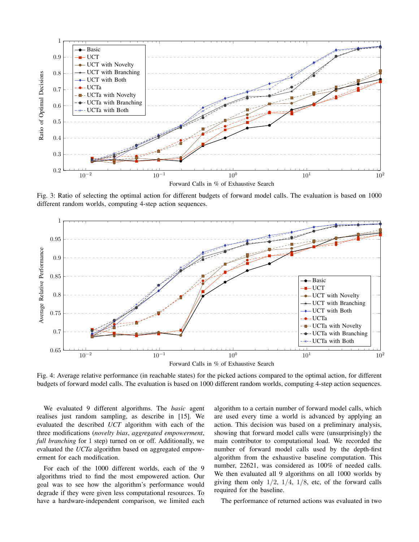

Fig. 3: Ratio of selecting the optimal action for different budgets of forward model calls. The evaluation is based on 1000 different random worlds, computing 4-step action sequences.



Fig. 4: Average relative performance (in reachable states) for the picked actions compared to the optimal action, for different budgets of forward model calls. The evaluation is based on 1000 different random worlds, computing 4-step action sequences.

We evaluated 9 different algorithms. The *basic* agent realises just random sampling, as describe in [15]. We evaluated the described *UCT* algorithm with each of the three modifications (*novelty bias*, *aggregated empowerment*, *full branching* for 1 step) turned on or off. Additionally, we evaluated the *UCTa* algorithm based on aggregated empowerment for each modification.

For each of the 1000 different worlds, each of the 9 algorithms tried to find the most empowered action. Our goal was to see how the algorithm's performance would degrade if they were given less computational resources. To have a hardware-independent comparison, we limited each algorithm to a certain number of forward model calls, which are used every time a world is advanced by applying an action. This decision was based on a preliminary analysis, showing that forward model calls were (unsurprisingly) the main contributor to computational load. We recorded the number of forward model calls used by the depth-first algorithm from the exhaustive baseline computation. This number, 22621, was considered as 100% of needed calls. We then evaluated all 9 algorithms on all 1000 worlds by giving them only  $1/2$ ,  $1/4$ ,  $1/8$ , etc, of the forward calls required for the baseline.

The performance of returned actions was evaluated in two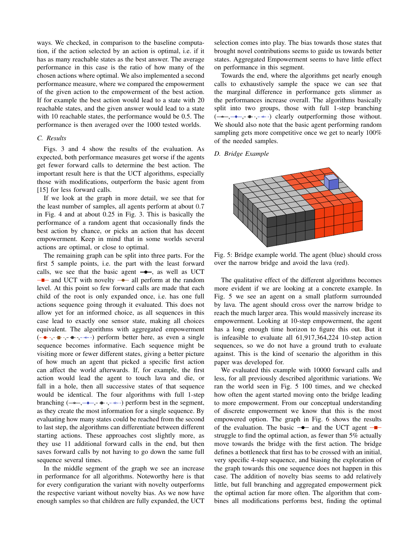ways. We checked, in comparison to the baseline computation, if the action selected by an action is optimal, i.e. if it has as many reachable states as the best answer. The average performance in this case is the ratio of how many of the chosen actions where optimal. We also implemented a second performance measure, where we compared the empowerment of the given action to the empowerment of the best action. If for example the best action would lead to a state with 20 reachable states, and the given answer would lead to a state with 10 reachable states, the performance would be 0.5. The performance is then averaged over the 1000 tested worlds.

#### *C. Results*

Figs. 3 and 4 show the results of the evaluation. As expected, both performance measures get worse if the agents get fewer forward calls to determine the best action. The important result here is that the UCT algorithms, especially those with modifications, outperform the basic agent from [15] for less forward calls.

If we look at the graph in more detail, we see that for the least number of samples, all agents perform at about 0.7 in Fig. 4 and at about 0.25 in Fig. 3. This is basically the performance of a random agent that occasionally finds the best action by chance, or picks an action that has decent empowerment. Keep in mind that in some worlds several actions are optimal, or close to optimal.

The remaining graph can be split into three parts. For the first 5 sample points, i.e. the part with the least forward calls, we see that the basic agent  $\rightarrow$ , as well as UCT  $\rightarrow$  and UCT with novelty  $\rightarrow$  all perform at the random level. At this point so few forward calls are made that each child of the root is only expanded once, i.e. has one full actions sequence going through it evaluated. This does not allow yet for an informed choice, as all sequences in this case lead to exactly one sensor state, making all choices equivalent. The algorithms with aggregated empowerment  $(- \bullet$ ,  $- \bullet$ ,  $\bullet$ ,  $- \bullet$ ,  $- \star$ ) perform better here, as even a single sequence becomes informative. Each sequence might be visiting more or fewer different states, giving a better picture of how much an agent that picked a specific first action can affect the world afterwards. If, for example, the first action would lead the agent to touch lava and die, or fall in a hole, then all successive states of that sequence would be identical. The four algorithms with full 1-step branching  $(\rightarrow -,-+,-+,-)$  perform best in the segment, as they create the most information for a single sequence. By evaluating how many states could be reached from the second to last step, the algorithms can differentiate between different starting actions. These approaches cost slightly more, as they use 11 additional forward calls in the end, but then saves forward calls by not having to go down the same full sequence several times.

In the middle segment of the graph we see an increase in performance for all algorithms. Noteworthy here is that for every configuration the variant with novelty outperforms the respective variant without novelty bias. As we now have enough samples so that children are fully expanded, the UCT selection comes into play. The bias towards those states that brought novel contributions seems to guide us towards better states. Aggregated Empowerment seems to have little effect on performance in this segment.

Towards the end, where the algorithms get nearly enough calls to exhaustively sample the space we can see that the marginal difference in performance gets slimmer as the performances increase overall. The algorithms basically split into two groups, those with full 1-step branching  $(\rightarrow -,-\rightarrow -,-\rightarrow -)$  clearly outperforming those without. We should also note that the basic agent performing random sampling gets more competitive once we get to nearly  $100\%$ of the needed samples.

#### *D. Bridge Example*



Fig. 5: Bridge example world. The agent (blue) should cross over the narrow bridge and avoid the lava (red).

The qualitative effect of the different algorithms becomes more evident if we are looking at a concrete example. In Fig. 5 we see an agent on a small platform surrounded by lava. The agent should cross over the narrow bridge to reach the much larger area. This would massively increase its empowerment. Looking at 10-step empowerment, the agent has a long enough time horizon to figure this out. But it is infeasible to evaluate all 61,917,364,224 10-step action sequences, so we do not have a ground truth to evaluate against. This is the kind of scenario the algorithm in this paper was developed for.

We evaluated this example with 10000 forward calls and less, for all previously described algorithmic variations. We ran the world seen in Fig. 5 100 times, and we checked how often the agent started moving onto the bridge leading to more empowerment. From our conceptual understanding of discrete empowerment we know that this is the most empowered option. The graph in Fig. 6 shows the results of the evaluation. The basic  $\rightarrow$  and the UCT agent  $\rightarrow$ struggle to find the optimal action, as fewer than 5% actually move towards the bridge with the first action. The bridge defines a bottleneck that first has to be crossed with an initial, very specific 4-step sequence, and biasing the exploration of the graph towards this one sequence does not happen in this case. The addition of novelty bias seems to add relatively little, but full branching and aggregated empowerment pick the optimal action far more often. The algorithm that combines all modifications performs best, finding the optimal